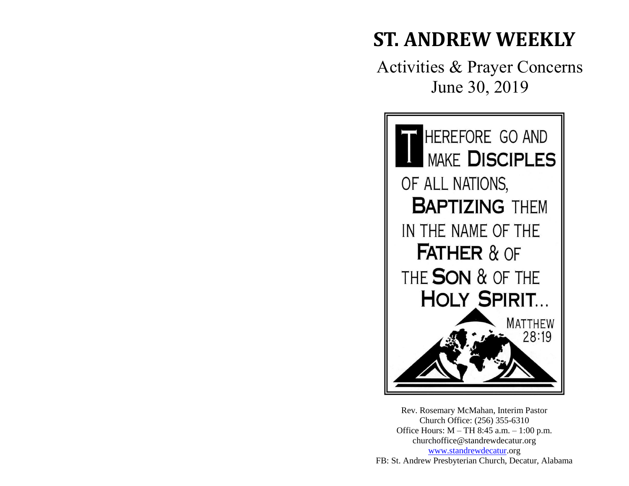# **ST. ANDREW WEEKLY**

Activities & Prayer Concerns June 30, 2019



Rev. Rosemary McMahan, Interim Pastor Church Office: (256) 355-6310 Office Hours: M – TH 8:45 a.m. – 1:00 p.m. churchoffice@standrewdecatur.org [www.standrewdecatur.](http://www.standrewdecatur/)org FB: St. Andrew Presbyterian Church, Decatur, Alabama